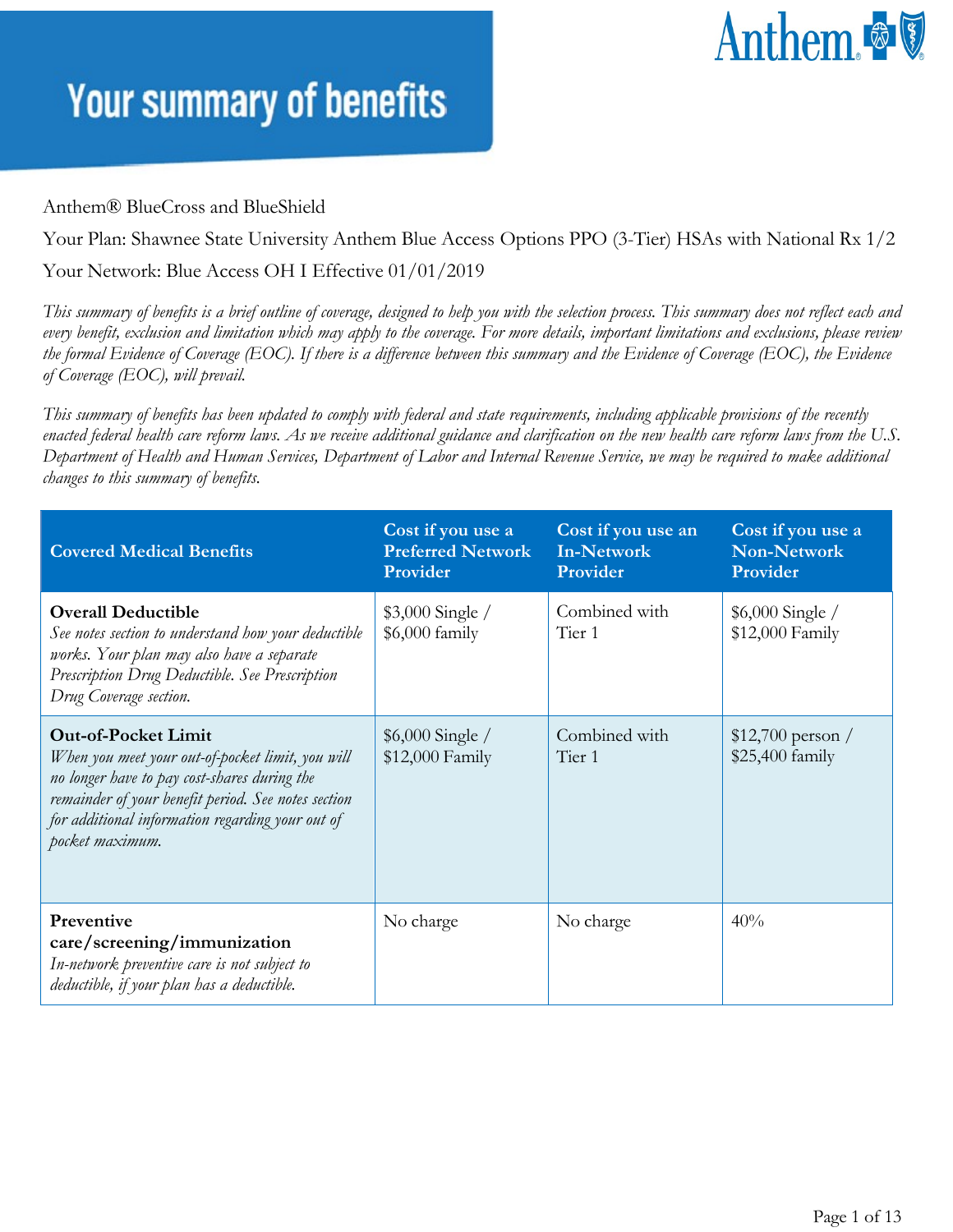# Anthem &

#### **Your summary of benefits**

#### Anthem® BlueCross and BlueShield

Your Plan: Shawnee State University Anthem Blue Access Options PPO (3-Tier) HSAs with National Rx 1/2

Your Network: Blue Access OH I Effective 01/01/2019

*This summary of benefits is a brief outline of coverage, designed to help you with the selection process. This summary does not reflect each and every benefit, exclusion and limitation which may apply to the coverage. For more details, important limitations and exclusions, please review the formal Evidence of Coverage (EOC). If there is a difference between this summary and the Evidence of Coverage (EOC), the Evidence of Coverage (EOC), will prevail.*

*This summary of benefits has been updated to comply with federal and state requirements, including applicable provisions of the recently enacted federal health care reform laws. As we receive additional guidance and clarification on the new health care reform laws from the U.S. Department of Health and Human Services, Department of Labor and Internal Revenue Service, we may be required to make additional changes to this summary of benefits.*

| <b>Covered Medical Benefits</b>                                                                                                                                                                                                                              | Cost if you use a<br><b>Preferred Network</b><br>Provider | Cost if you use an<br><b>In-Network</b><br>Provider | Cost if you use a<br><b>Non-Network</b><br>Provider |
|--------------------------------------------------------------------------------------------------------------------------------------------------------------------------------------------------------------------------------------------------------------|-----------------------------------------------------------|-----------------------------------------------------|-----------------------------------------------------|
| <b>Overall Deductible</b><br>See notes section to understand how your deductible<br>works. Your plan may also have a separate<br>Prescription Drug Deductible. See Prescription<br>Drug Coverage section.                                                    | $$3,000$ Single /<br>$$6,000$ family                      | Combined with<br>Tier 1                             | $$6,000$ Single /<br>\$12,000 Family                |
| <b>Out-of-Pocket Limit</b><br>When you meet your out-of-pocket limit, you will<br>no longer have to pay cost-shares during the<br>remainder of your benefit period. See notes section<br>for additional information regarding your out of<br>pocket maximum. | $$6,000$ Single /<br>\$12,000 Family                      | Combined with<br>Tier 1                             | $$12,700$ person /<br>\$25,400 family               |
| Preventive<br>care/screening/immunization<br>In-network preventive care is not subject to<br>deductible, if your plan has a deductible.                                                                                                                      | No charge                                                 | No charge                                           | 40%                                                 |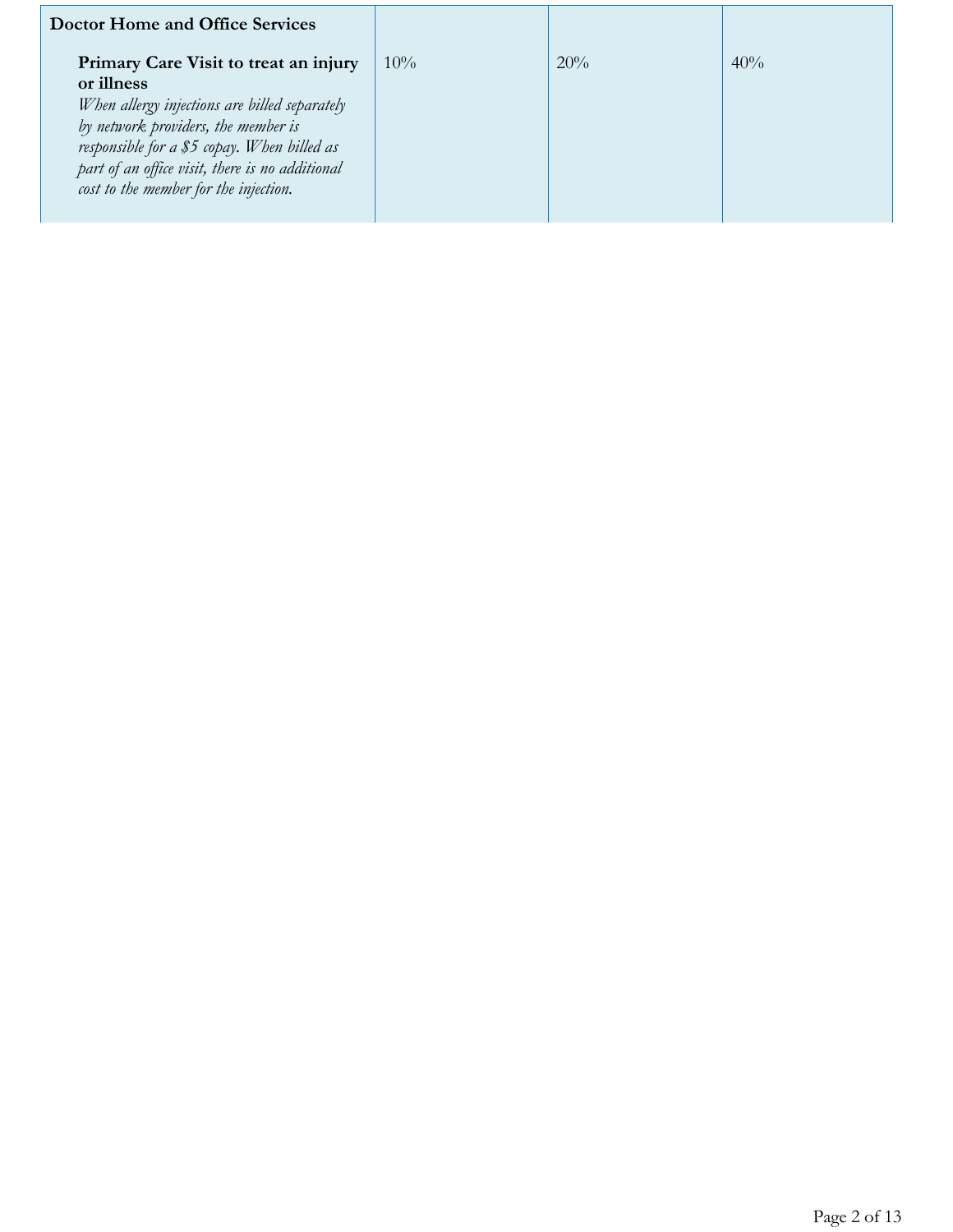| <b>Doctor Home and Office Services</b>                                                                                                                                                                                                                                                 |        |     |     |
|----------------------------------------------------------------------------------------------------------------------------------------------------------------------------------------------------------------------------------------------------------------------------------------|--------|-----|-----|
| Primary Care Visit to treat an injury<br>or illness<br>When allergy injections are billed separately<br>by network providers, the member is<br>responsible for a \$5 copay. When billed as<br>part of an office visit, there is no additional<br>cost to the member for the injection. | $10\%$ | 20% | 40% |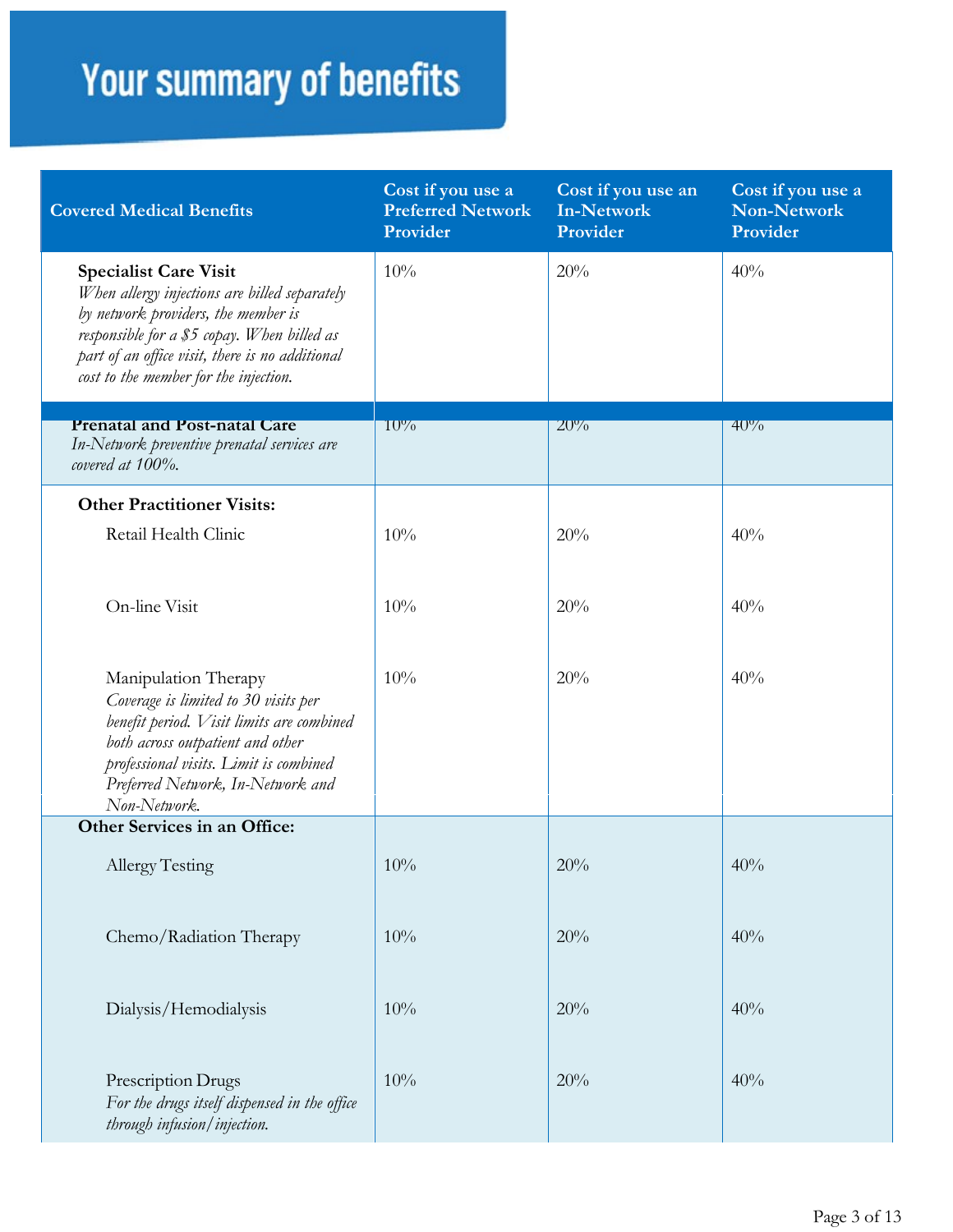| <b>Covered Medical Benefits</b>                                                                                                                                                                                                                                 | Cost if you use a<br><b>Preferred Network</b><br>Provider | Cost if you use an<br><b>In-Network</b><br>Provider | Cost if you use a<br><b>Non-Network</b><br>Provider |
|-----------------------------------------------------------------------------------------------------------------------------------------------------------------------------------------------------------------------------------------------------------------|-----------------------------------------------------------|-----------------------------------------------------|-----------------------------------------------------|
| <b>Specialist Care Visit</b><br>When allergy injections are billed separately<br>by network providers, the member is<br>responsible for a \$5 copay. When billed as<br>part of an office visit, there is no additional<br>cost to the member for the injection. | 10%                                                       | 20%                                                 | 40%                                                 |
| <b>Prenatal and Post-natal Care</b><br>In-Network preventive prenatal services are<br>covered at 100%.                                                                                                                                                          | $10\%$                                                    | $20\%$                                              | $40\%$                                              |
| <b>Other Practitioner Visits:</b>                                                                                                                                                                                                                               |                                                           |                                                     |                                                     |
| Retail Health Clinic                                                                                                                                                                                                                                            | 10%                                                       | 20%                                                 | 40%                                                 |
| On-line Visit                                                                                                                                                                                                                                                   | 10%                                                       | 20%                                                 | 40%                                                 |
| Manipulation Therapy<br>Coverage is limited to 30 visits per<br>benefit period. Visit limits are combined<br>both across outpatient and other<br>professional visits. Limit is combined<br>Preferred Network, In-Network and<br>Non-Network.                    | 10%                                                       | 20%                                                 | 40%                                                 |
| Other Services in an Office:                                                                                                                                                                                                                                    |                                                           |                                                     |                                                     |
| Allergy Testing                                                                                                                                                                                                                                                 | 10%                                                       | 20%                                                 | 40%                                                 |
| Chemo/Radiation Therapy                                                                                                                                                                                                                                         | 10%                                                       | 20%                                                 | 40%                                                 |
| Dialysis/Hemodialysis                                                                                                                                                                                                                                           | 10%                                                       | 20%                                                 | 40%                                                 |
| Prescription Drugs<br>For the drugs itself dispensed in the office<br>through infusion/injection.                                                                                                                                                               | 10%                                                       | 20%                                                 | 40%                                                 |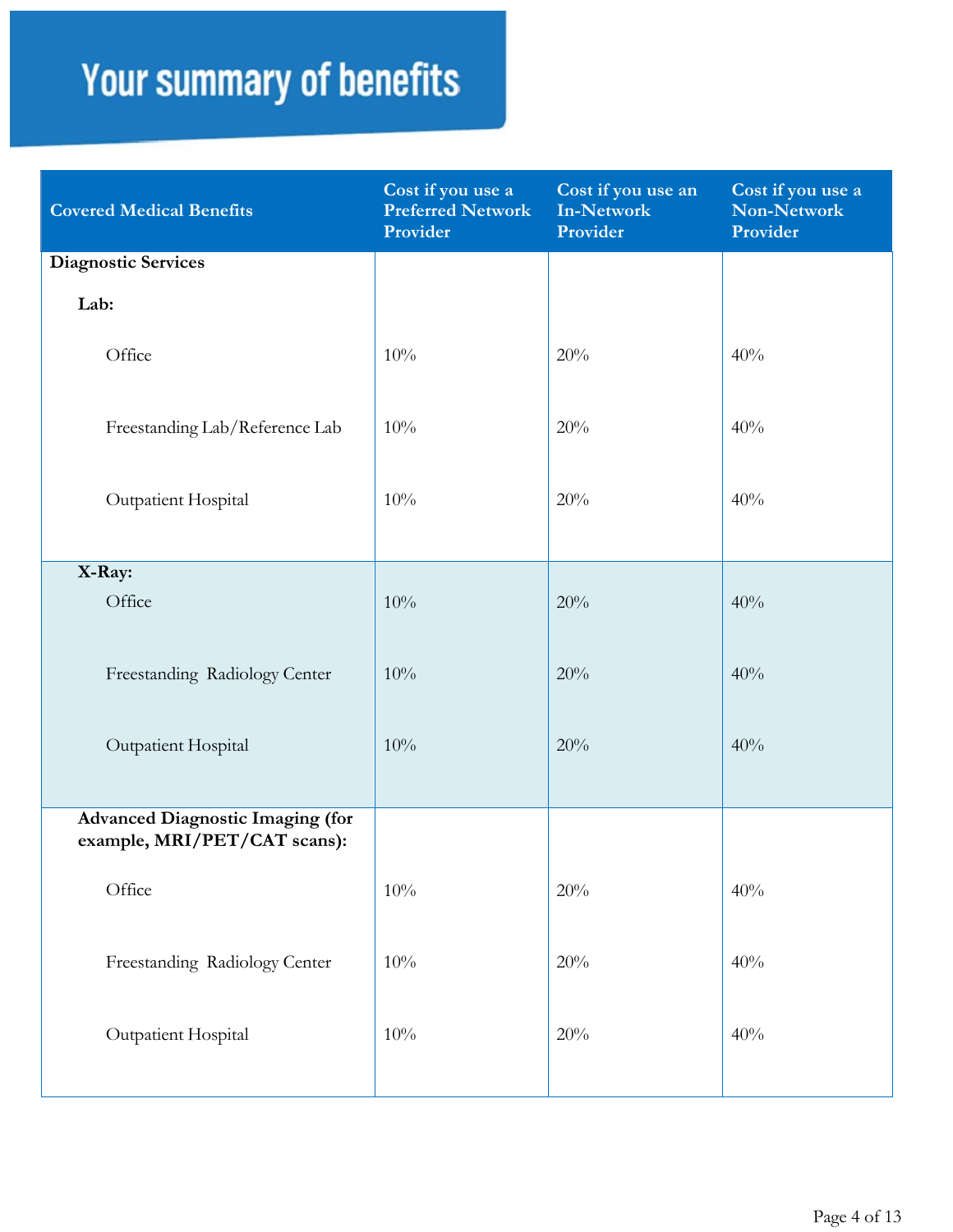| <b>Covered Medical Benefits</b>                                         | Cost if you use a<br><b>Preferred Network</b><br>Provider | Cost if you use an<br><b>In-Network</b><br>Provider | Cost if you use a<br>Non-Network<br>Provider |
|-------------------------------------------------------------------------|-----------------------------------------------------------|-----------------------------------------------------|----------------------------------------------|
| <b>Diagnostic Services</b>                                              |                                                           |                                                     |                                              |
| Lab:                                                                    |                                                           |                                                     |                                              |
| Office                                                                  | 10%                                                       | 20%                                                 | 40%                                          |
| Freestanding Lab/Reference Lab                                          | 10%                                                       | 20%                                                 | 40%                                          |
| Outpatient Hospital                                                     | 10%                                                       | 20%                                                 | 40%                                          |
| X-Ray:                                                                  |                                                           |                                                     |                                              |
| Office                                                                  | 10%                                                       | 20%                                                 | 40%                                          |
| Freestanding Radiology Center                                           | 10%                                                       | 20%                                                 | 40%                                          |
| Outpatient Hospital                                                     | 10%                                                       | 20%                                                 | 40%                                          |
| <b>Advanced Diagnostic Imaging (for</b><br>example, MRI/PET/CAT scans): |                                                           |                                                     |                                              |
| Office                                                                  | 10%                                                       | 20%                                                 | 40%                                          |
| Freestanding Radiology Center                                           | 10%                                                       | 20%                                                 | 40%                                          |
| Outpatient Hospital                                                     | 10%                                                       | 20%                                                 | 40%                                          |
|                                                                         |                                                           |                                                     |                                              |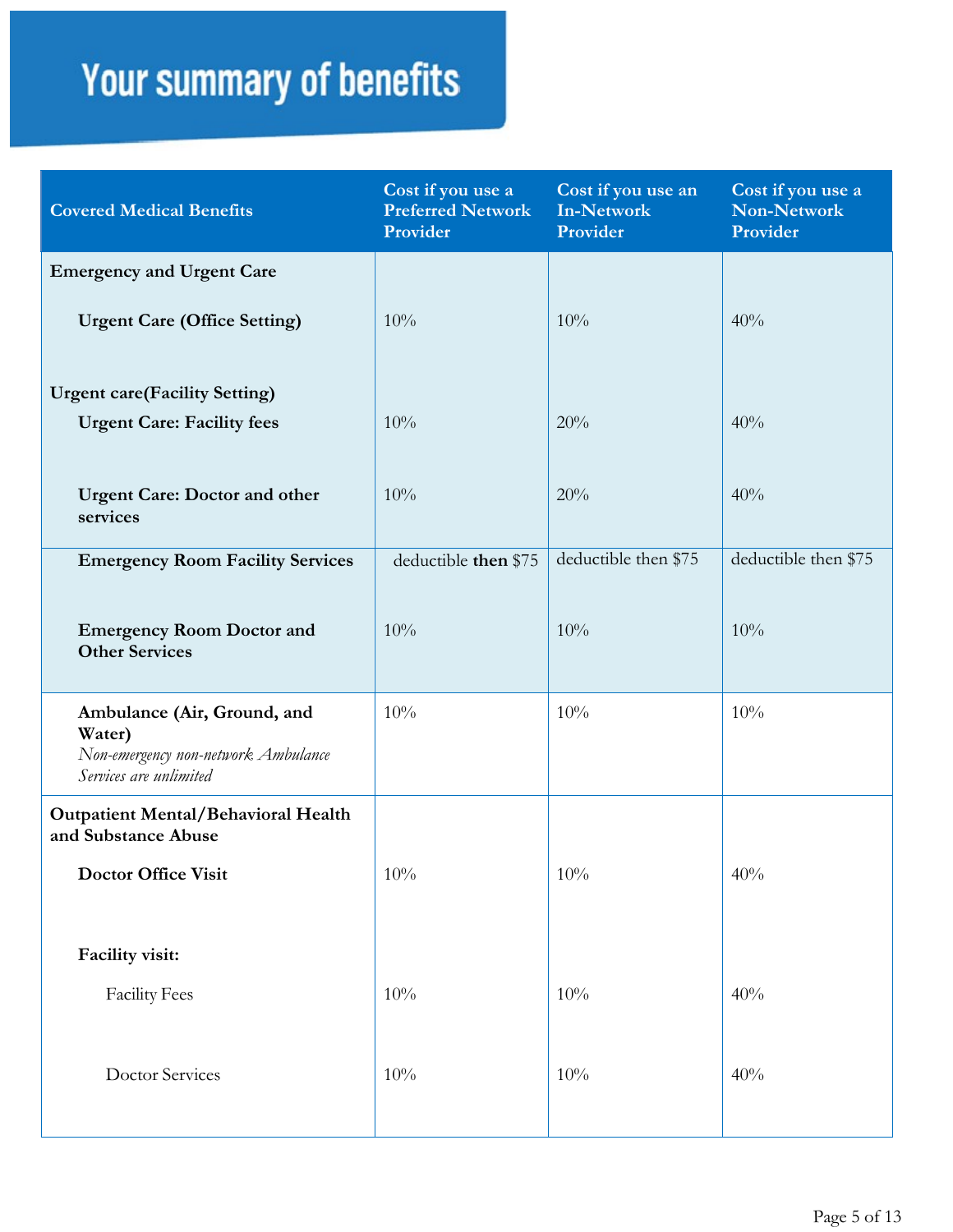| <b>Covered Medical Benefits</b>                                                                        | Cost if you use a<br><b>Preferred Network</b><br>Provider | Cost if you use an<br><b>In-Network</b><br>Provider | Cost if you use a<br>Non-Network<br>Provider |
|--------------------------------------------------------------------------------------------------------|-----------------------------------------------------------|-----------------------------------------------------|----------------------------------------------|
| <b>Emergency and Urgent Care</b>                                                                       |                                                           |                                                     |                                              |
| <b>Urgent Care (Office Setting)</b>                                                                    | 10%                                                       | 10%                                                 | 40%                                          |
| <b>Urgent care(Facility Setting)</b>                                                                   |                                                           |                                                     |                                              |
| <b>Urgent Care: Facility fees</b>                                                                      | 10%                                                       | 20%                                                 | 40%                                          |
| <b>Urgent Care: Doctor and other</b><br>services                                                       | 10%                                                       | 20%                                                 | 40%                                          |
| <b>Emergency Room Facility Services</b>                                                                | deductible then \$75                                      | deductible then \$75                                | deductible then \$75                         |
| <b>Emergency Room Doctor and</b><br><b>Other Services</b>                                              | 10%                                                       | 10%                                                 | 10%                                          |
| Ambulance (Air, Ground, and<br>Water)<br>Non-emergency non-network Ambulance<br>Services are unlimited | 10%                                                       | 10%                                                 | 10%                                          |
| <b>Outpatient Mental/Behavioral Health</b><br>and Substance Abuse                                      |                                                           |                                                     |                                              |
| <b>Doctor Office Visit</b>                                                                             | 10%                                                       | 10%                                                 | 40%                                          |
| Facility visit:                                                                                        |                                                           |                                                     |                                              |
| <b>Facility Fees</b>                                                                                   | 10%                                                       | 10%                                                 | 40%                                          |
| <b>Doctor Services</b>                                                                                 | 10%                                                       | 10%                                                 | 40%                                          |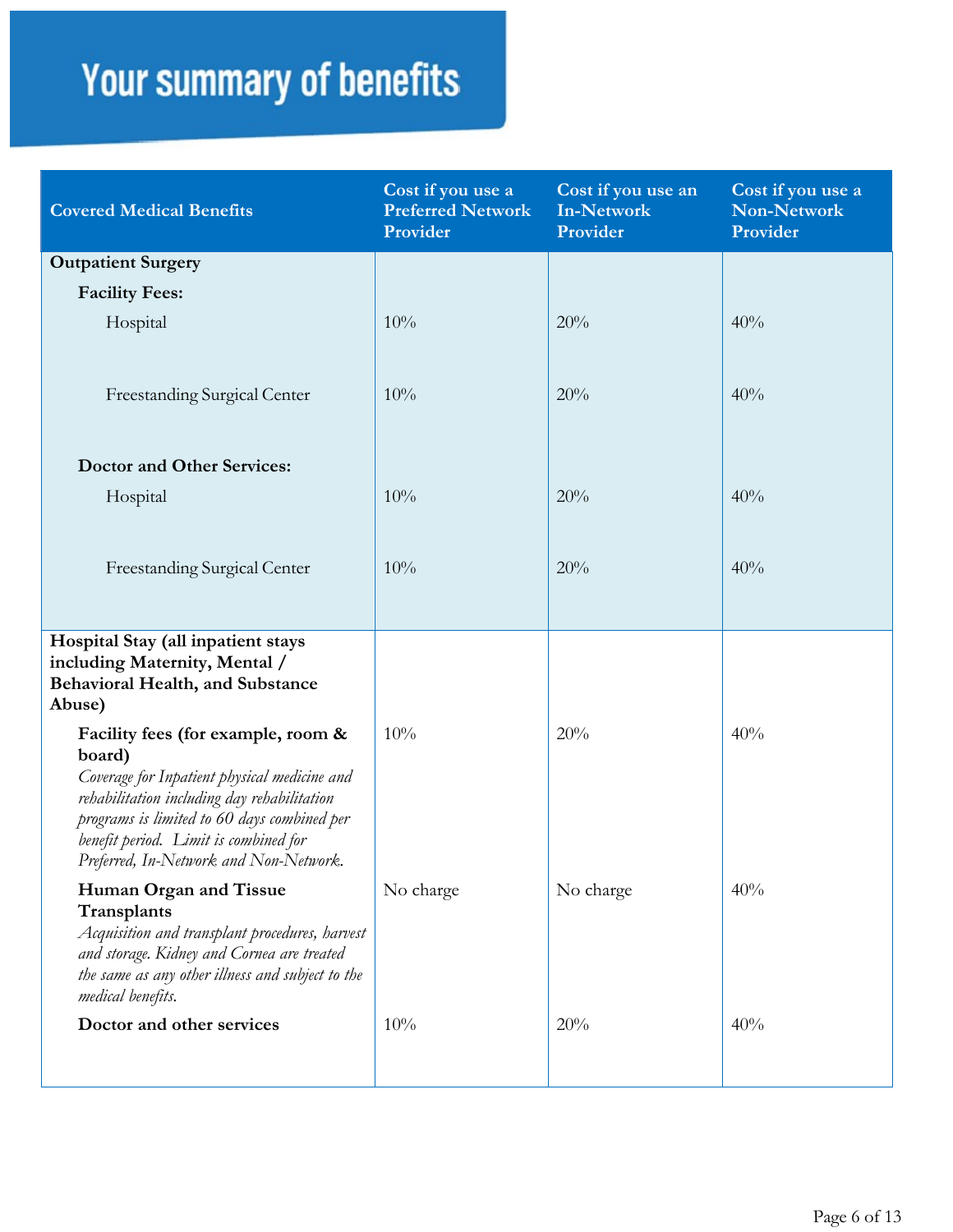| <b>Covered Medical Benefits</b>                                                                                                                                                                                                                                               | Cost if you use a<br><b>Preferred Network</b><br>Provider | Cost if you use an<br><b>In-Network</b><br>Provider | Cost if you use a<br><b>Non-Network</b><br>Provider |
|-------------------------------------------------------------------------------------------------------------------------------------------------------------------------------------------------------------------------------------------------------------------------------|-----------------------------------------------------------|-----------------------------------------------------|-----------------------------------------------------|
| <b>Outpatient Surgery</b>                                                                                                                                                                                                                                                     |                                                           |                                                     |                                                     |
| <b>Facility Fees:</b>                                                                                                                                                                                                                                                         |                                                           |                                                     |                                                     |
| Hospital                                                                                                                                                                                                                                                                      | 10%                                                       | 20%                                                 | 40%                                                 |
| Freestanding Surgical Center                                                                                                                                                                                                                                                  | 10%                                                       | 20%                                                 | 40%                                                 |
| <b>Doctor and Other Services:</b>                                                                                                                                                                                                                                             |                                                           |                                                     |                                                     |
| Hospital                                                                                                                                                                                                                                                                      | 10%                                                       | 20%                                                 | 40%                                                 |
| Freestanding Surgical Center                                                                                                                                                                                                                                                  | 10%                                                       | 20%                                                 | 40%                                                 |
| Hospital Stay (all inpatient stays<br>including Maternity, Mental /<br><b>Behavioral Health, and Substance</b><br>Abuse)                                                                                                                                                      |                                                           |                                                     |                                                     |
| Facility fees (for example, room &<br>board)<br>Coverage for Inpatient physical medicine and<br>rehabilitation including day rehabilitation<br>programs is limited to 60 days combined per<br>benefit period. Limit is combined for<br>Preferred, In-Network and Non-Network. | 10%                                                       | 20%                                                 | 40%                                                 |
| Human Organ and Tissue<br>Transplants<br>Acquisition and transplant procedures, harvest<br>and storage. Kidney and Cornea are treated<br>the same as any other illness and subject to the<br>medical benefits.                                                                | No charge                                                 | No charge                                           | 40%                                                 |
| Doctor and other services                                                                                                                                                                                                                                                     | 10%                                                       | 20%                                                 | 40%                                                 |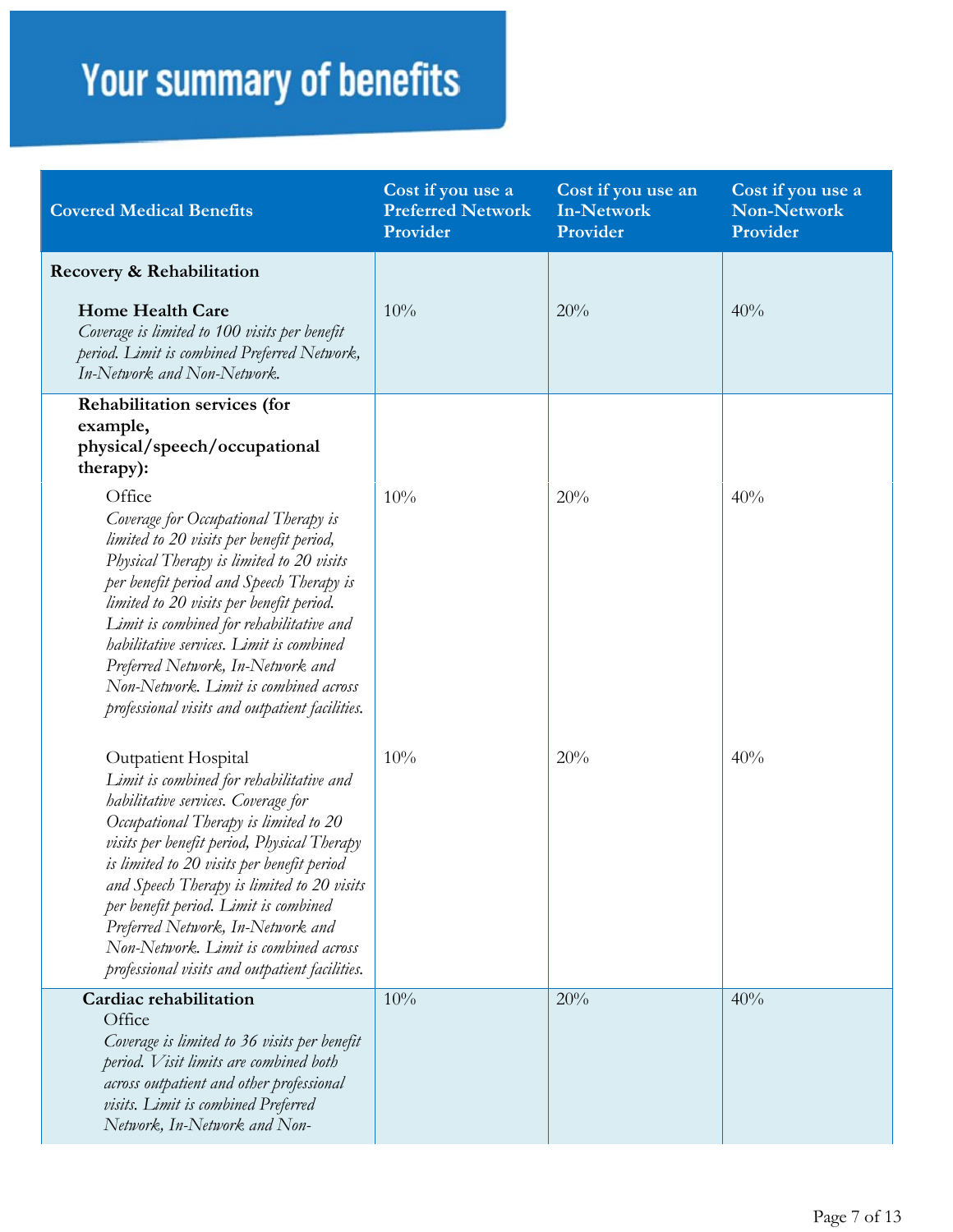| <b>Covered Medical Benefits</b>                                                                                                                                                                                                                                                                                                                                                                                                                                     | Cost if you use a<br><b>Preferred Network</b><br>Provider | Cost if you use an<br><b>In-Network</b><br>Provider | Cost if you use a<br><b>Non-Network</b><br>Provider |
|---------------------------------------------------------------------------------------------------------------------------------------------------------------------------------------------------------------------------------------------------------------------------------------------------------------------------------------------------------------------------------------------------------------------------------------------------------------------|-----------------------------------------------------------|-----------------------------------------------------|-----------------------------------------------------|
| Recovery & Rehabilitation                                                                                                                                                                                                                                                                                                                                                                                                                                           |                                                           |                                                     |                                                     |
| <b>Home Health Care</b><br>Coverage is limited to 100 visits per benefit<br>period. Limit is combined Preferred Network,<br>In-Network and Non-Network.                                                                                                                                                                                                                                                                                                             | 10%                                                       | 20%                                                 | 40%                                                 |
| Rehabilitation services (for<br>example,<br>physical/speech/occupational<br>therapy):                                                                                                                                                                                                                                                                                                                                                                               |                                                           |                                                     |                                                     |
| Office<br>Coverage for Occupational Therapy is<br>limited to 20 visits per benefit period,<br>Physical Therapy is limited to 20 visits<br>per benefit period and Speech Therapy is<br>limited to 20 visits per benefit period.<br>Limit is combined for rehabilitative and<br>habilitative services. Limit is combined<br>Preferred Network, In-Network and<br>Non-Network. Limit is combined across<br>professional visits and outpatient facilities.              | 10%                                                       | 20%                                                 | 40%                                                 |
| Outpatient Hospital<br>Limit is combined for rehabilitative and<br>habilitative services. Coverage for<br>Occupational Therapy is limited to 20<br>visits per benefit period, Physical Therapy<br>is limited to 20 visits per benefit period<br>and Speech Therapy is limited to 20 visits<br>per benefit period. Limit is combined<br>Preferred Network, In-Network and<br>Non-Network. Limit is combined across<br>professional visits and outpatient facilities. | 10%                                                       | 20%                                                 | 40%                                                 |
| Cardiac rehabilitation<br>Office<br>Coverage is limited to 36 visits per benefit<br>period. Visit limits are combined both<br>across outpatient and other professional<br>visits. Limit is combined Preferred<br>Network, In-Network and Non-                                                                                                                                                                                                                       | 10%                                                       | 20%                                                 | 40%                                                 |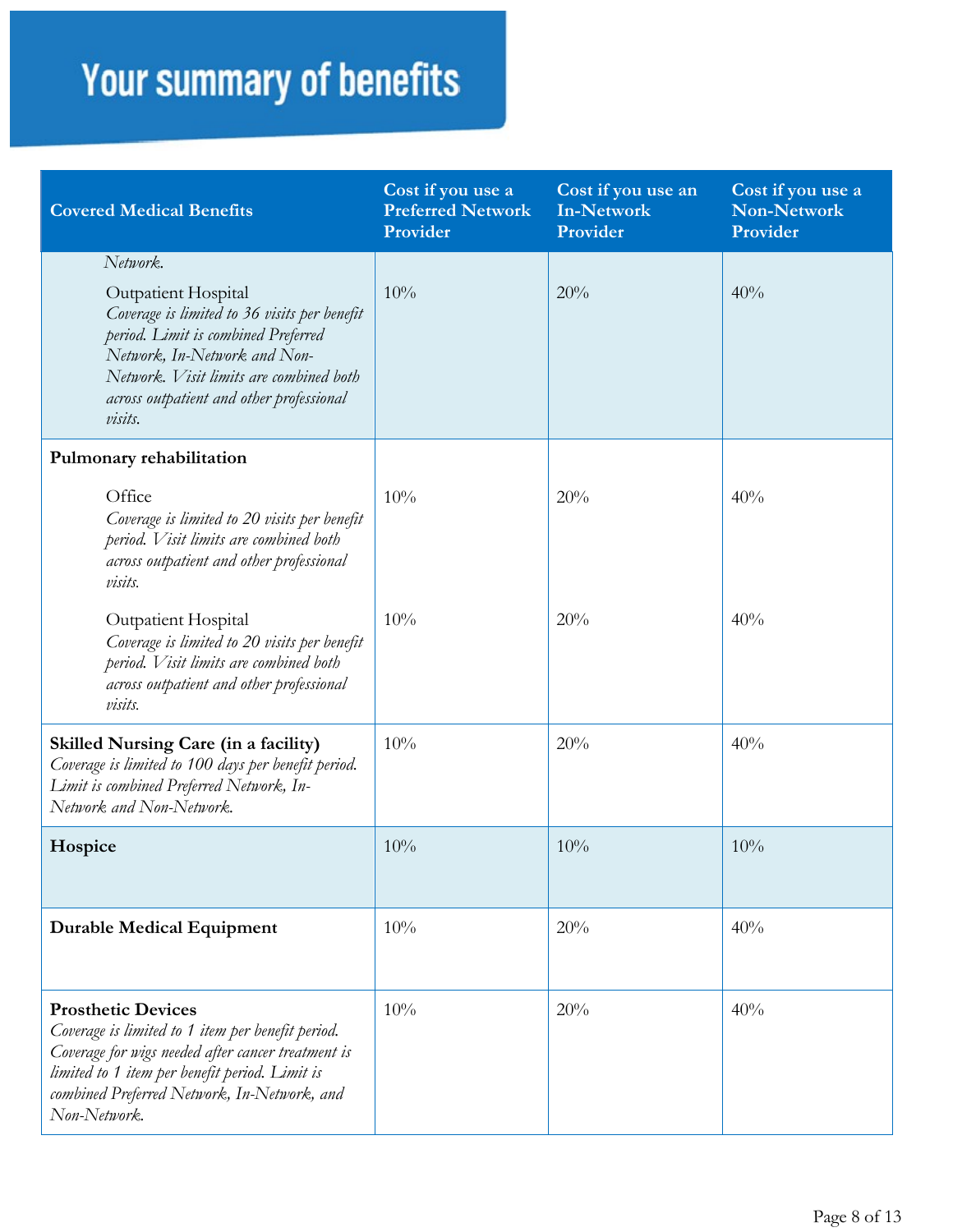| <b>Covered Medical Benefits</b>                                                                                                                                                                                                                                 | Cost if you use a<br><b>Preferred Network</b><br>Provider | Cost if you use an<br><b>In-Network</b><br>Provider | Cost if you use a<br><b>Non-Network</b><br>Provider |
|-----------------------------------------------------------------------------------------------------------------------------------------------------------------------------------------------------------------------------------------------------------------|-----------------------------------------------------------|-----------------------------------------------------|-----------------------------------------------------|
| Network.<br><b>Outpatient Hospital</b><br>Coverage is limited to 36 visits per benefit<br>period. Limit is combined Preferred<br>Network, In-Network and Non-<br>Network. Visit limits are combined both<br>across outpatient and other professional<br>visits. | 10%                                                       | 20%                                                 | 40%                                                 |
| Pulmonary rehabilitation<br>Office<br>Coverage is limited to 20 visits per benefit<br>period. Visit limits are combined both<br>across outpatient and other professional<br>visits.                                                                             | 10%                                                       | 20%                                                 | 40%                                                 |
| Outpatient Hospital<br>Coverage is limited to 20 visits per benefit<br>period. Visit limits are combined both<br>across outpatient and other professional<br><i>visits.</i>                                                                                     | 10%                                                       | 20%                                                 | 40%                                                 |
| <b>Skilled Nursing Care (in a facility)</b><br>Coverage is limited to 100 days per benefit period.<br>Limit is combined Preferred Network, In-<br>Network and Non-Network.                                                                                      | 10%                                                       | 20%                                                 | 40%                                                 |
| Hospice                                                                                                                                                                                                                                                         | 10%                                                       | 10%                                                 | 10%                                                 |
| <b>Durable Medical Equipment</b>                                                                                                                                                                                                                                | 10%                                                       | 20%                                                 | 40%                                                 |
| <b>Prosthetic Devices</b><br>Coverage is limited to 1 item per benefit period.<br>Coverage for wigs needed after cancer treatment is<br>limited to 1 item per benefit period. Limit is<br>combined Preferred Network, In-Network, and<br>Non-Network.           | 10%                                                       | 20%                                                 | 40%                                                 |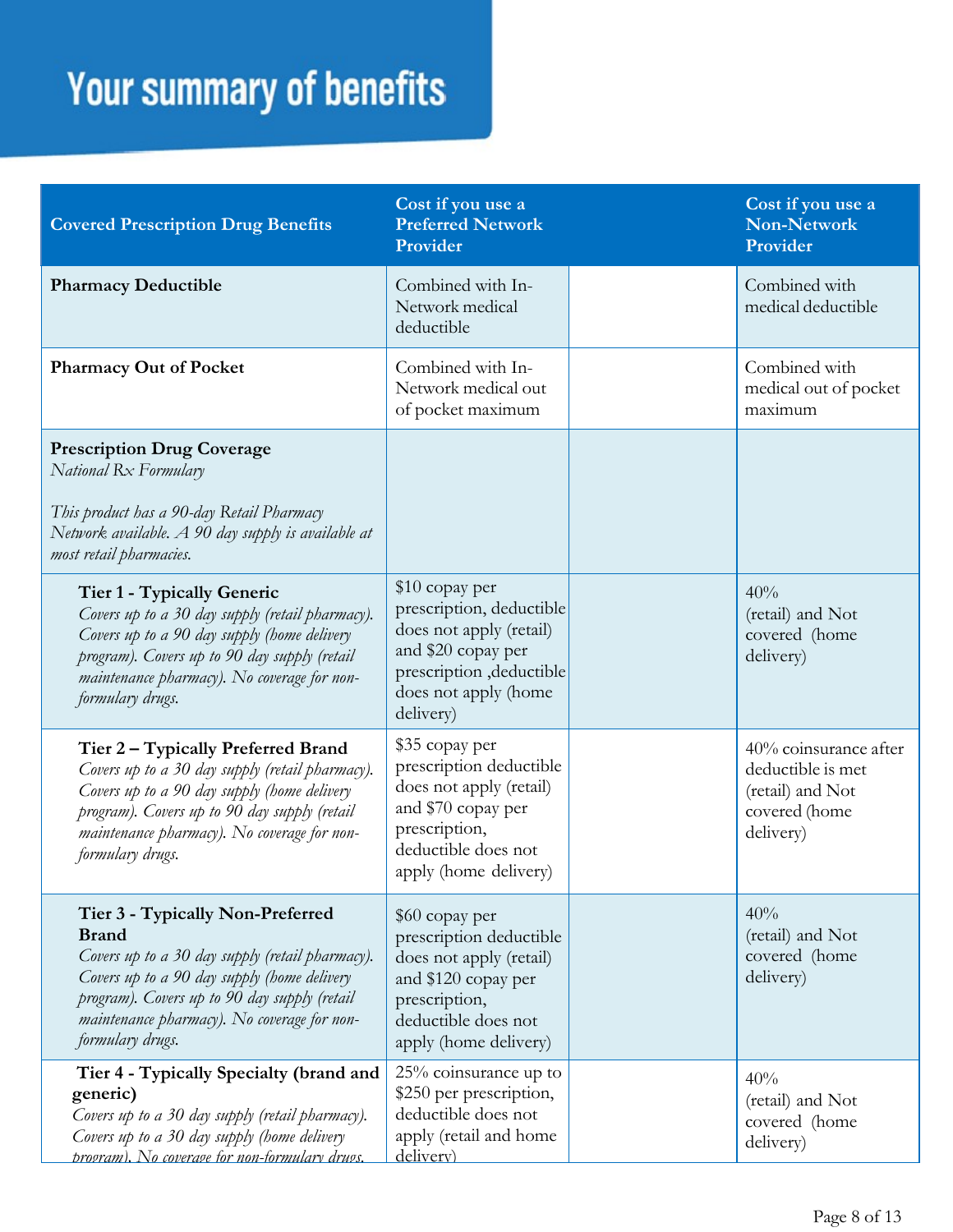| <b>Covered Prescription Drug Benefits</b>                                                                                                                                                                                                                             | Cost if you use a<br><b>Preferred Network</b><br>Provider                                                                                                     | Cost if you use a<br><b>Non-Network</b><br>Provider                                          |
|-----------------------------------------------------------------------------------------------------------------------------------------------------------------------------------------------------------------------------------------------------------------------|---------------------------------------------------------------------------------------------------------------------------------------------------------------|----------------------------------------------------------------------------------------------|
| <b>Pharmacy Deductible</b>                                                                                                                                                                                                                                            | Combined with In-<br>Network medical<br>deductible                                                                                                            | Combined with<br>medical deductible                                                          |
| <b>Pharmacy Out of Pocket</b>                                                                                                                                                                                                                                         | Combined with In-<br>Network medical out<br>of pocket maximum                                                                                                 | Combined with<br>medical out of pocket<br>maximum                                            |
| <b>Prescription Drug Coverage</b><br>National Rx Formulary<br>This product has a 90-day Retail Pharmacy<br>Network available. A 90 day supply is available at<br>most retail pharmacies.                                                                              |                                                                                                                                                               |                                                                                              |
| Tier 1 - Typically Generic<br>Covers up to a 30 day supply (retail pharmacy).<br>Covers up to a 90 day supply (home delivery<br>program). Covers up to 90 day supply (retail<br>maintenance pharmacy). No coverage for non-<br>formulary drugs.                       | \$10 copay per<br>prescription, deductible<br>does not apply (retail)<br>and \$20 copay per<br>prescription , deductible<br>does not apply (home<br>delivery) | 40%<br>(retail) and Not<br>covered (home<br>delivery)                                        |
| Tier 2 – Typically Preferred Brand<br>Covers up to a 30 day supply (retail pharmacy).<br>Covers up to a 90 day supply (home delivery<br>program). Covers up to 90 day supply (retail<br>maintenance pharmacy). No coverage for non-<br>formulary drugs.               | \$35 copay per<br>prescription deductible<br>does not apply (retail)<br>and \$70 copay per<br>prescription,<br>deductible does not<br>apply (home delivery)   | 40% coinsurance after<br>deductible is met<br>(retail) and Not<br>covered (home<br>delivery) |
| Tier 3 - Typically Non-Preferred<br><b>Brand</b><br>Covers up to a 30 day supply (retail pharmacy).<br>Covers up to a 90 day supply (home delivery<br>program). Covers up to 90 day supply (retail<br>maintenance pharmacy). No coverage for non-<br>formulary drugs. | \$60 copay per<br>prescription deductible<br>does not apply (retail)<br>and \$120 copay per<br>prescription,<br>deductible does not<br>apply (home delivery)  | 40%<br>(retail) and Not<br>covered (home<br>delivery)                                        |
| Tier 4 - Typically Specialty (brand and<br>generic)<br>Covers up to a 30 day supply (retail pharmacy).<br>Covers up to a 30 day supply (home delivery<br>program). No coverage for non-formulary drugs.                                                               | 25% coinsurance up to<br>\$250 per prescription,<br>deductible does not<br>apply (retail and home<br>delivery)                                                | 40%<br>(retail) and Not<br>covered (home<br>delivery)                                        |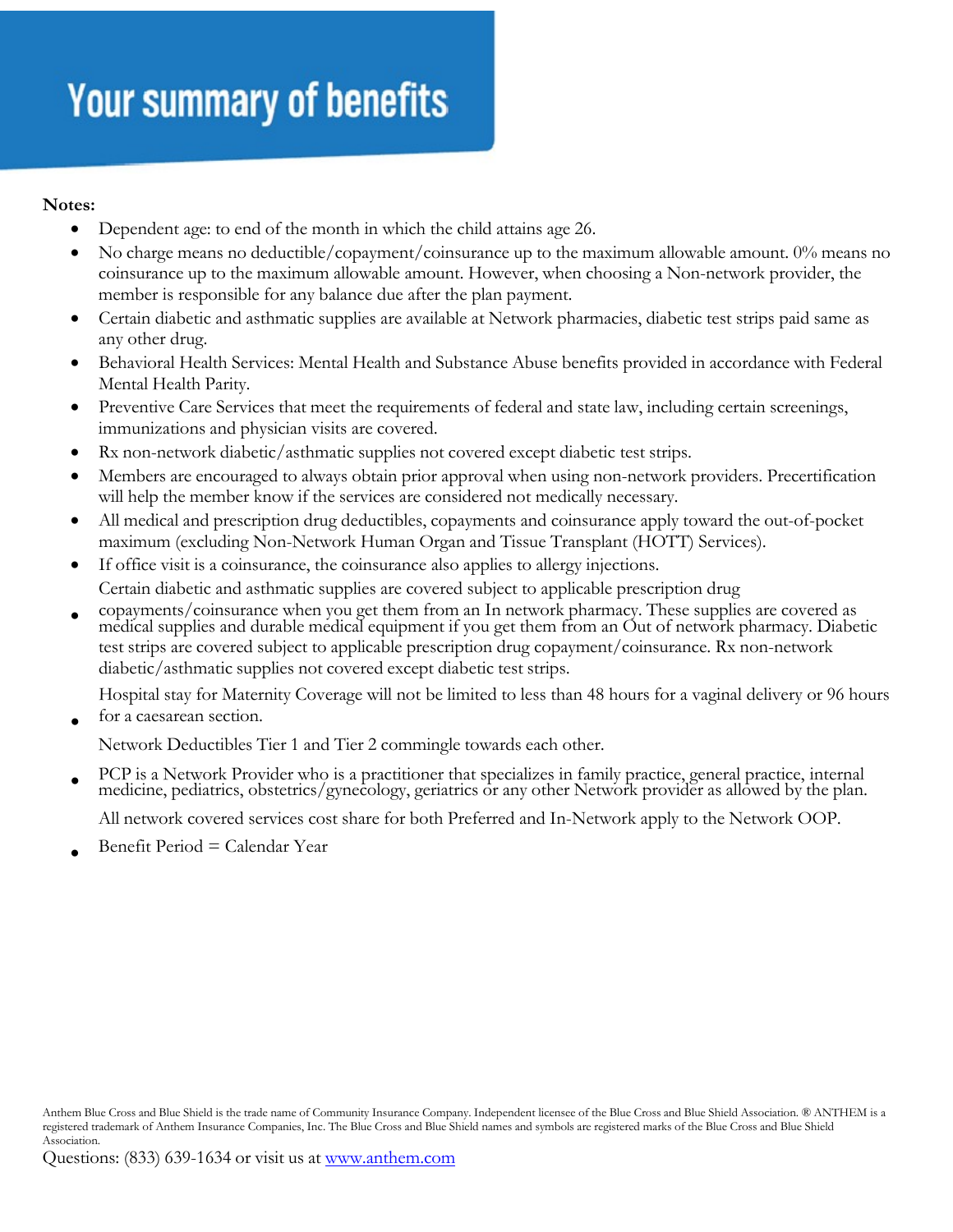#### **Notes:**

- Dependent age: to end of the month in which the child attains age 26.
- No charge means no deductible/copayment/coinsurance up to the maximum allowable amount. 0% means no coinsurance up to the maximum allowable amount. However, when choosing a Non-network provider, the member is responsible for any balance due after the plan payment.
- Certain diabetic and asthmatic supplies are available at Network pharmacies, diabetic test strips paid same as any other drug.
- Behavioral Health Services: Mental Health and Substance Abuse benefits provided in accordance with Federal Mental Health Parity.
- Preventive Care Services that meet the requirements of federal and state law, including certain screenings, immunizations and physician visits are covered.
- Rx non-network diabetic/asthmatic supplies not covered except diabetic test strips.
- Members are encouraged to always obtain prior approval when using non-network providers. Precertification will help the member know if the services are considered not medically necessary.
- All medical and prescription drug deductibles, copayments and coinsurance apply toward the out-of-pocket maximum (excluding Non-Network Human Organ and Tissue Transplant (HOTT) Services).
- If office visit is a coinsurance, the coinsurance also applies to allergy injections. Certain diabetic and asthmatic supplies are covered subject to applicable prescription drug
- copayments/coinsurance when you get them from an In network pharmacy. These supplies are covered as medical supplies and durable medical equipment if you get them from an Out of network pharmacy. Diabetic test strips are covered subject to applicable prescription drug copayment/coinsurance. Rx non-network diabetic/asthmatic supplies not covered except diabetic test strips.

Hospital stay for Maternity Coverage will not be limited to less than 48 hours for a vaginal delivery or 96 hours for a caesarean section.

Network Deductibles Tier 1 and Tier 2 commingle towards each other.

• PCP is a Network Provider who is a practitioner that specializes in family practice, general practice, internal medicine, pediatrics, obstetrics/gynecology, geriatrics or any other Network provider as allowed by the plan.

All network covered services cost share for both Preferred and In-Network apply to the Network OOP.

• Benefit Period = Calendar Year

Anthem Blue Cross and Blue Shield is the trade name of Community Insurance Company. Independent licensee of the Blue Cross and Blue Shield Association. ® ANTHEM is a registered trademark of Anthem Insurance Companies, Inc. The Blue Cross and Blue Shield names and symbols are registered marks of the Blue Cross and Blue Shield Association.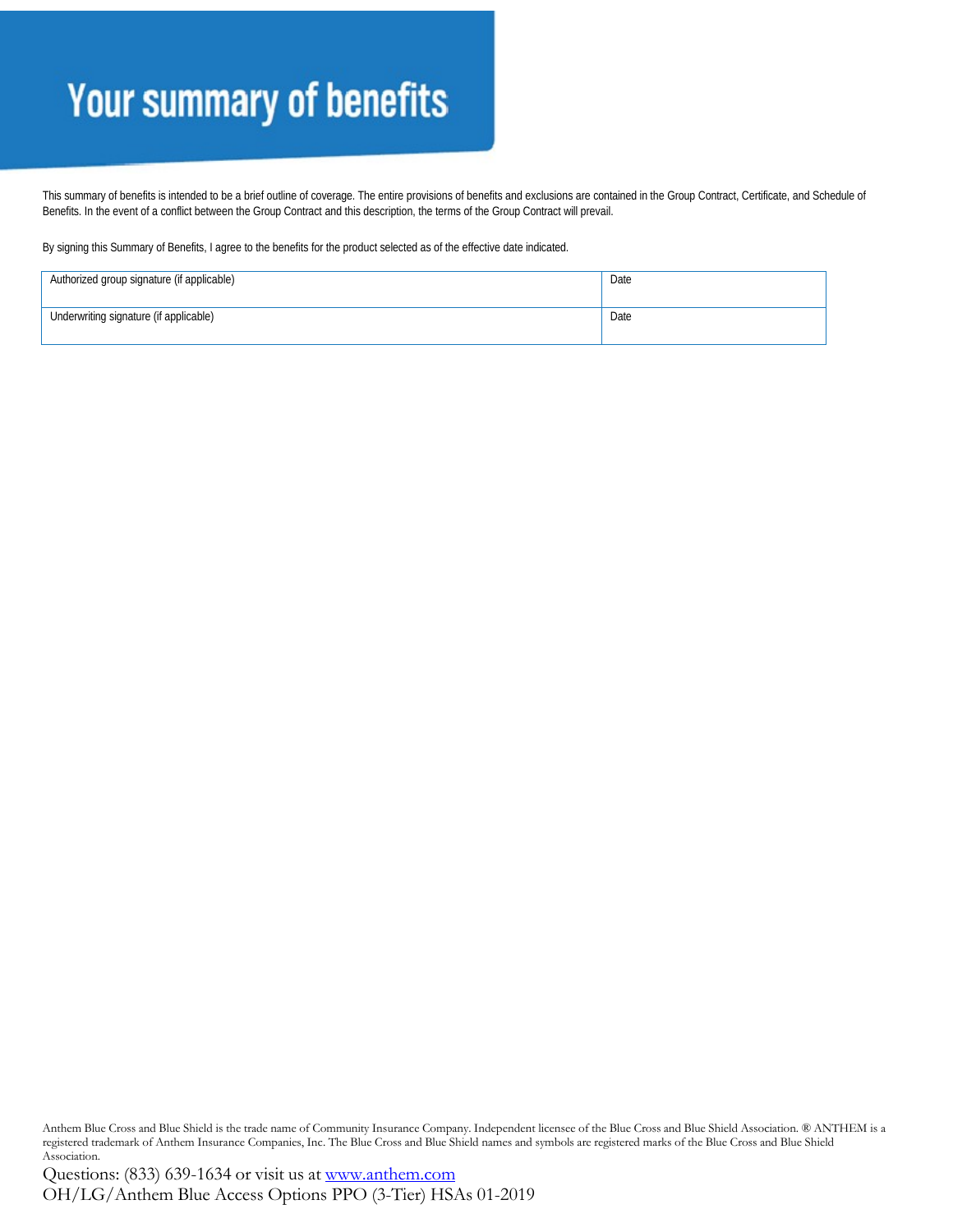This summary of benefits is intended to be a brief outline of coverage. The entire provisions of benefits and exclusions are contained in the Group Contract, Certificate, and Schedule of Benefits. In the event of a conflict between the Group Contract and this description, the terms of the Group Contract will prevail.

By signing this Summary of Benefits, I agree to the benefits for the product selected as of the effective date indicated.

| Authorized group signature (if applicable) | Date |
|--------------------------------------------|------|
| Underwriting signature (if applicable)     | Date |

Anthem Blue Cross and Blue Shield is the trade name of Community Insurance Company. Independent licensee of the Blue Cross and Blue Shield Association. ® ANTHEM is a registered trademark of Anthem Insurance Companies, Inc. The Blue Cross and Blue Shield names and symbols are registered marks of the Blue Cross and Blue Shield Association.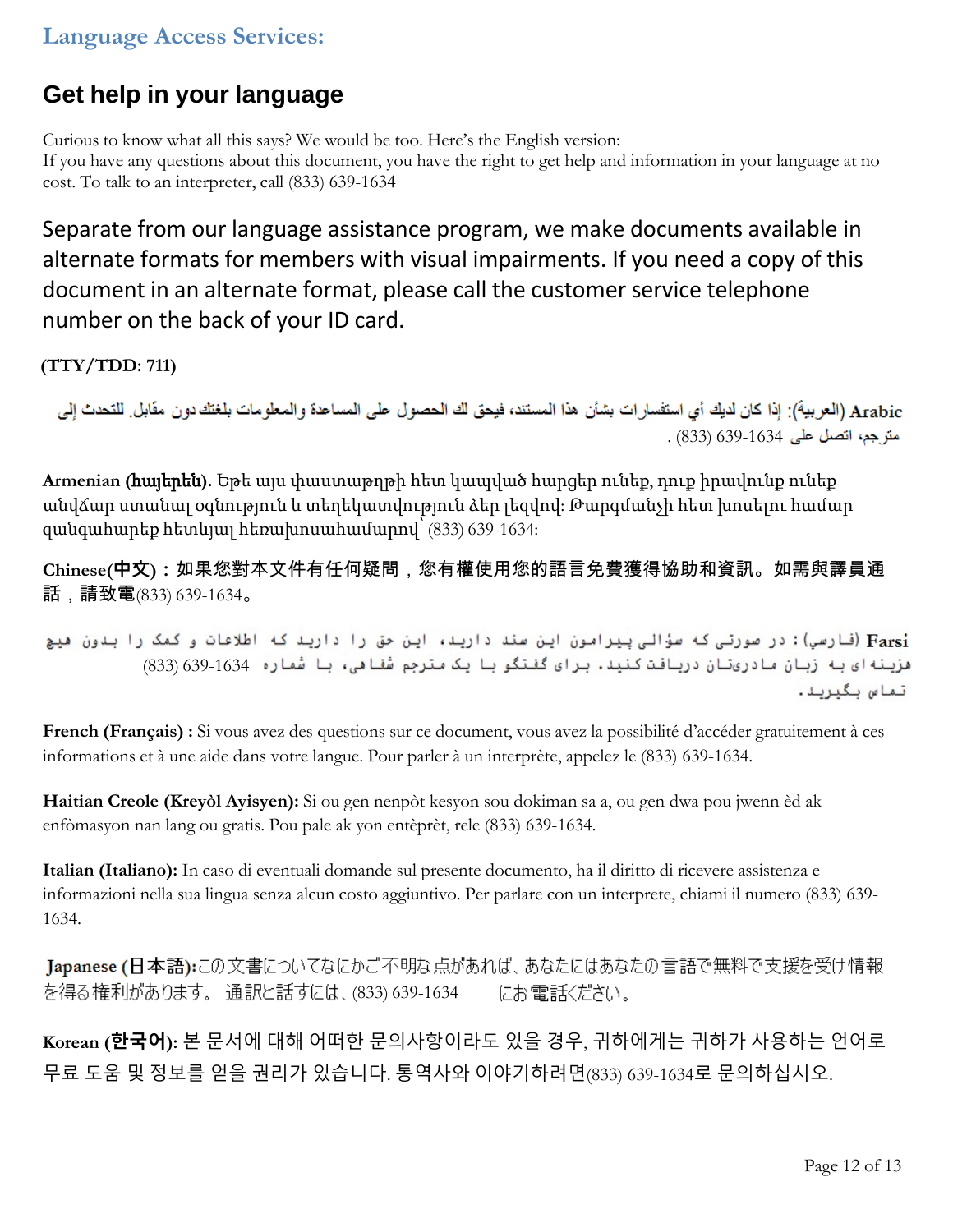#### **Language Access Services:**

#### **Get help in your language**

Curious to know what all this says? We would be too. Here's the English version: If you have any questions about this document, you have the right to get help and information in your language at no cost. To talk to an interpreter, call (833) 639-1634

Separate from our language assistance program, we make documents available in alternate formats for members with visual impairments. If you need a copy of this document in an alternate format, please call the customer service telephone number on the back of your ID card.

**(TTY/TDD: 711)**

Arabic (العربية): إذا كان لديك أي استفسار ات بشأن هذا المستند، فيحق لك الحصول على المساعدة والمعلومات بلغتك دون مقابل. للتحدث إلى . (833) 639-1634

**Armenian (**հայերեն**).** Եթե այս փաստաթղթի հետ կապված հարցեր ունեք, դուք իրավունք ունեք անվճար ստանալ օգնություն և տեղեկատվություն ձեր լեզվով: Թարգմանչի հետ խոսելու համար զանգահարեք հետևյալ հեռախոսահամարով՝ (833) 639-1634:

**Chinese(中文):**如果您對本文件有任何疑問,您有權使用您的語言免費獲得協助和資訊。如需與譯員通 話,請致電(833) 639-1634。

Farsi) (فارسي): در صورتی که سؤالی پیرامون این سند دارید، این حق را دارید که اطلاعات و کمک را بدون هیچ هزينه اي به زبان مادريتان دريافت كنيد. براي گفتگو با يک مترجم شفاهي، با شماره 1634-639) (833) تماس بگيريد.

**French (Français) :** Si vous avez des questions sur ce document, vous avez la possibilité d'accéder gratuitement à ces informations et à une aide dans votre langue. Pour parler à un interprète, appelez le (833) 639-1634.

**Haitian Creole (Kreyòl Ayisyen):** Si ou gen nenpòt kesyon sou dokiman sa a, ou gen dwa pou jwenn èd ak enfòmasyon nan lang ou gratis. Pou pale ak yon entèprèt, rele (833) 639-1634.

**Italian (Italiano):** In caso di eventuali domande sul presente documento, ha il diritto di ricevere assistenza e informazioni nella sua lingua senza alcun costo aggiuntivo. Per parlare con un interprete, chiami il numero (833) 639- 1634.

Japanese (日本語):この文書についてなにかご不明な点があれば、あなたにはあなたの言語で無料で支援を受け情報 を得る権利があります。 通訳と話すには、(833) 639-1634 にお電話ください。

**Korean (한국어):** 본 문서에 대해 어떠한 문의사항이라도 있을 경우, 귀하에게는 귀하가 사용하는 언어로 무료 도움 및 정보를 얻을 권리가 있습니다. 통역사와 이야기하려면(833) 639-1634로 문의하십시오.